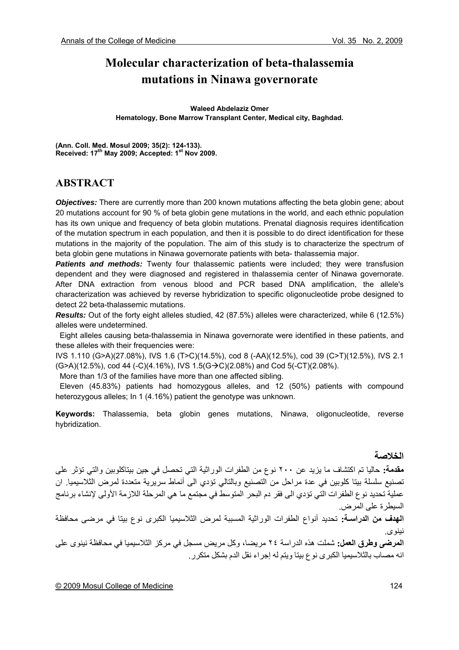# **Molecular characterization of beta-thalassemia mutations in Ninawa governorate**

**Waleed Abdelaziz Omer Hematology, Bone Marrow Transplant Center, Medical city, Baghdad.** 

**(Ann. Coll. Med. Mosul 2009; 35(2): 124-133). Received: 17th May 2009; Accepted: 1st Nov 2009.** 

### **ABSTRACT**

*Objectives:* There are currently more than 200 known mutations affecting the beta globin gene; about 20 mutations account for 90 % of beta globin gene mutations in the world, and each ethnic population has its own unique and frequency of beta globin mutations. Prenatal diagnosis requires identification of the mutation spectrum in each population, and then it is possible to do direct identification for these mutations in the majority of the population. The aim of this study is to characterize the spectrum of beta globin gene mutations in Ninawa governorate patients with beta- thalassemia major.

**Patients and methods:** Twenty four thalassemic patients were included; they were transfusion dependent and they were diagnosed and registered in thalassemia center of Ninawa governorate. After DNA extraction from venous blood and PCR based DNA amplification, the allele's characterization was achieved by reverse hybridization to specific oligonucleotide probe designed to detect 22 beta-thalassemic mutations.

*Results:* Out of the forty eight alleles studied, 42 (87.5%) alleles were characterized, while 6 (12.5%) alleles were undetermined.

 Eight alleles causing beta-thalassemia in Ninawa governorate were identified in these patients, and these alleles with their frequencies were:

IVS 1.110 (G>A)(27.08%), IVS 1.6 (T>C)(14.5%), cod 8 (-AA)(12.5%), cod 39 (C>T)(12.5%), IVS 2.1  $(G>A)(12.5\%)$ , cod 44 (-C)(4.16%), IVS 1.5(G $\rightarrow$ C)(2.08%) and Cod 5(-CT)(2.08%).

More than 1/3 of the families have more than one affected sibling.

 Eleven (45.83%) patients had homozygous alleles, and 12 (50%) patients with compound heterozygous alleles; In 1 (4.16%) patient the genotype was unknown.

**Keywords:** Thalassemia, beta globin genes mutations, Ninawa, oligonucleotide, reverse hybridization.

**الخلاصة مقدمة:** حاليا تم اكتشاف ما يزيد عن ٢٠٠ نوع من الطفرات الوراثية التي تحصل في جين بيتاكلوبين والتي تؤثر على تصنيع سلسلة بيتا كلوبين في عدة مراحل من التصنيع وبالتالي تؤدي الى أنماط سريرية متعددة لمرض الثلاسيميا. ان عملية تحديد نوع الطفرات التي تؤدي الى فقر دم البحر المتوسط في مجتمع ما هي المرحلة اللازمة الأولى لإنشاء برنامج السيطرة على المرض.

**الهدف من الدراسـة:** تحديد أنواع الطفرات الوراثية المسببة لمرض الثلاسيميا الكبرى نوع بيتا في مرضى محافظة نينوى.

**المرضى وطرق العمل:** شملت هذه الدراسة ٢٤ مريضا، وآل مريض مسجل في مرآز الثلاسيميا في محافظة نينوى على انه مصاب بالثلاسيميا الكبرى نوع بيتا ويتم له إجراء نقل الدم بشكل متكرر.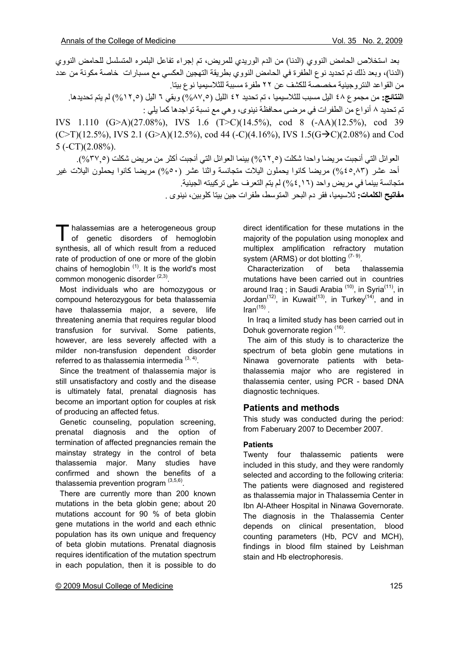بعد استخلاص الحامض النووي (الدنا) من الدم الوريدي للمريض، تم إجراء تفاعل البلمره المتسلسل للحامض النووي (الدنا)، وبعد ذلك تم تحديد نوع الطفرة في الحامض النووي بطريقة التهجين العكسي مع مسبارات خاصة مكونة من عدد من القواعد النتروجينية مخصصة للكشف عن ٢٢ طفرة مسببة للثلاسيميا نوع بيتا. **النتائج:** من مجموع ٤٨ اليل مسبب للثلاسيميا ، تم تحديد ٤٢ الليل (%٨٧,٥) وبقي ٦ الّيل (%١٢,٥) لم يتم تحديدها. تم تحديد ٨ أنواع من الطفرات في مرضى محافظة نينوي، و هي مع نسبة تواجدها كما يلي : IVS 1.110 (G>A)(27.08%), IVS 1.6 (T>C)(14.5%), cod 8 (-AA)(12.5%), cod 39  $(C>T)(12.5\%)$ , IVS 2.1  $(G>A)(12.5\%)$ , cod 44  $(-C)(4.16\%)$ , IVS  $1.5(G\rightarrow C)(2.08\%)$  and Cod  $5 (-CT)(2.08\%)$ .

العوائل التي أنجبت مريضا واحدا شكلت (٥ - ٢٢%) بينما العوائل التي أنجبت أكثر من مريض شكلت (٥ - ٣٧%). أحد عشر (٨٣ ه٤%) مريضا كانوا يحملون اليلات متجانسة واثنا عشر (٥٠%) مريضا كانوا يحملون اليلات غير متجانسة بينما في مريض واحد (١٦ ٦%) لم يتم التعرف على تر كبيته الجينية.

**مفاتيح الكلمات:** ثلاسيميا، فقر دم البحر المتوسط، طفرات جين بيتا آلوبين، نينوى .

halassemias are a heterogeneous group Thalassemias are a heterogeneous group<br>of genetic disorders of hemoglobin synthesis, all of which result from a reduced rate of production of one or more of the globin chains of hemoglobin  $(1)$ . It is the world's most common monogenic disorder <sup>(2,3)</sup>.

 Most individuals who are homozygous or compound heterozygous for beta thalassemia have thalassemia major, a severe, life threatening anemia that requires regular blood transfusion for survival. Some patients, however, are less severely affected with a milder non-transfusion dependent disorder referred to as thalassemia intermedia  $(3, 4)$ .

 Since the treatment of thalassemia major is still unsatisfactory and costly and the disease is ultimately fatal, prenatal diagnosis has become an important option for couples at risk of producing an affected fetus.

 Genetic counseling, population screening, prenatal diagnosis and the option of termination of affected pregnancies remain the mainstay strategy in the control of beta thalassemia major. Many studies have confirmed and shown the benefits of a thalassemia prevention program  $(3,5,6)$ .

 There are currently more than 200 known mutations in the beta globin gene; about 20 mutations account for 90 % of beta globin gene mutations in the world and each ethnic population has its own unique and frequency of beta globin mutations. Prenatal diagnosis requires identification of the mutation spectrum in each population, then it is possible to do

direct identification for these mutations in the majority of the population using monoplex and multiplex amplification refractory mutation system (ARMS) or dot blotting  $(7-9)$ .

 Characterization of beta thalassemia mutations have been carried out in countries around Iraq ; in Saudi Arabia<sup>(10)</sup>, in Syria<sup>(11)</sup>, in Jordan<sup>(12)</sup>, in Kuwait<sup>(13)</sup>, in Turkey<sup>(14)</sup>, and in  $\text{Iran}^{(15)}$ 

 In Iraq a limited study has been carried out in Dohuk governorate region <sup>(16)</sup>.

 The aim of this study is to characterize the spectrum of beta globin gene mutations in Ninawa governorate patients with betathalassemia major who are registered in thalassemia center, using PCR - based DNA diagnostic techniques.

#### **Patients and methods**

This study was conducted during the period: from Faberuary 2007 to December 2007.

#### **Patients**

Twenty four thalassemic patients were included in this study, and they were randomly selected and according to the following criteria: The patients were diagnosed and registered as thalassemia major in Thalassemia Center in Ibn Al-Atheer Hospital in Ninawa Governorate. The diagnosis in the Thalassemia Center depends on clinical presentation, blood counting parameters (Hb, PCV and MCH), findings in blood film stained by Leishman stain and Hb electrophoresis.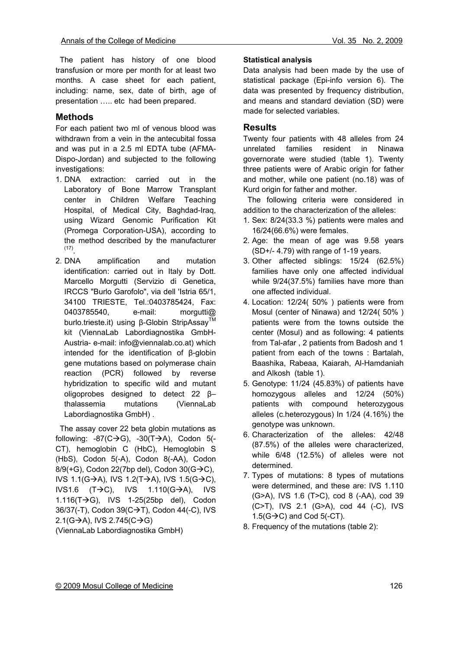The patient has history of one blood transfusion or more per month for at least two months. A case sheet for each patient, including: name, sex, date of birth, age of presentation ….. etc had been prepared.

### **Methods**

For each patient two ml of venous blood was withdrawn from a vein in the antecubital fossa and was put in a 2.5 ml EDTA tube (AFMA-Dispo-Jordan) and subjected to the following investigations:

- 1. DNA extraction: carried out in the Laboratory of Bone Marrow Transplant center in Children Welfare Teaching Hospital, of Medical City, Baghdad-Iraq, using Wizard Genomic Purification Kit (Promega Corporation-USA), according to the method described by the manufacturer (17).
- 2. DNA amplification and mutation identification: carried out in Italy by Dott. Marcello Morgutti (Servizio di Genetica, IRCCS "Burlo Garofolo", via dell 'Istria 65/1, 34100 TRIESTE, Tel.:0403785424, Fax: 0403785540, e-mail: morgutti@ burlo.trieste.it) using β-Globin StripAssay<sup>™</sup> kit (ViennaLab Labordiagnostika GmbH-Austria- e-mail: info@viennalab.co.at) which intended for the identification of β-globin gene mutations based on polymerase chain reaction (PCR) followed by reverse hybridization to specific wild and mutant oligoprobes designed to detect 22 β– thalassemia mutations (ViennaLab Labordiagnostika GmbH) .

 The assay cover 22 beta globin mutations as following:  $-87$ (C $\rightarrow$ G),  $-30$ (T $\rightarrow$ A), Codon 5(-CT), hemoglobin C (HbC), Hemoglobin S (HbS), Codon 5(-A), Codon 8(-AA), Codon  $8/9(+G)$ , Codon 22(7bp del), Codon 30( $G\rightarrow C$ ), IVS 1.1(G $\rightarrow$ A), IVS 1.2(T $\rightarrow$ A), IVS 1.5(G $\rightarrow$ C), IVS1.6  $(T\rightarrow C)$ , IVS 1.110(G $\rightarrow$ A), IVS 1.116( $T\rightarrow G$ ), IVS 1-25(25bp del), Codon 36/37(-T), Codon 39( $C \rightarrow T$ ), Codon 44(-C), IVS 2.1(G $\rightarrow$ A), IVS 2.745(C $\rightarrow$ G)

(ViennaLab Labordiagnostika GmbH)

#### **Statistical analysis**

Data analysis had been made by the use of statistical package (Epi-info version 6). The data was presented by frequency distribution, and means and standard deviation (SD) were made for selected variables.

### **Results**

Twenty four patients with 48 alleles from 24 unrelated families resident in Ninawa governorate were studied (table 1). Twenty three patients were of Arabic origin for father and mother, while one patient (no.18) was of Kurd origin for father and mother.

 The following criteria were considered in addition to the characterization of the alleles:

- 1. Sex: 8/24(33.3 %) patients were males and 16/24(66.6%) were females.
- 2. Age: the mean of age was 9.58 years (SD+/- 4.79) with range of 1-19 years.
- 3. Other affected siblings: 15/24 (62.5%) families have only one affected individual while 9/24(37.5%) families have more than one affected individual.
- 4. Location: 12/24( 50% ) patients were from Mosul (center of Ninawa) and 12/24( 50% ) patients were from the towns outside the center (Mosul) and as following: 4 patients from Tal-afar , 2 patients from Badosh and 1 patient from each of the towns : Bartalah, Baashika, Rabeaa, Kaiarah, Al-Hamdaniah and Alkosh (table 1).
- 5. Genotype: 11/24 (45.83%) of patients have homozygous alleles and 12/24 (50%) patients with compound heterozygous alleles (c.heterozygous) In 1/24 (4.16%) the genotype was unknown.
- 6. Characterization of the alleles: 42/48 (87.5%) of the alleles were characterized, while 6/48 (12.5%) of alleles were not determined.
- 7. Types of mutations: 8 types of mutations were determined, and these are: IVS 1.110 (G>A), IVS 1.6 (T>C), cod 8 (-AA), cod 39 (C>T), IVS 2.1 (G>A), cod 44 (-C), IVS  $1.5(G \rightarrow C)$  and Cod  $5(-CT)$ .
- 8. Frequency of the mutations (table 2):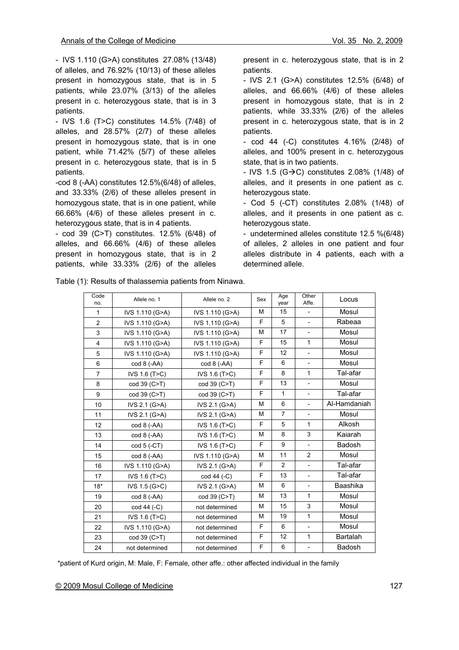- IVS 1.110 (G>A) constitutes 27.08% (13/48) of alleles, and 76.92% (10/13) of these alleles present in homozygous state, that is in 5 patients, while 23.07% (3/13) of the alleles present in c. heterozygous state, that is in 3 patients.

- IVS 1.6 (T>C) constitutes 14.5% (7/48) of alleles, and 28.57% (2/7) of these alleles present in homozygous state, that is in one patient, while 71.42% (5/7) of these alleles present in c. heterozygous state, that is in 5 patients.

-cod 8 (-AA) constitutes 12.5%(6/48) of alleles, and 33.33% (2/6) of these alleles present in homozygous state, that is in one patient, while 66.66% (4/6) of these alleles present in c. heterozygous state, that is in 4 patients.

- cod 39 (C>T) constitutes. 12.5% (6/48) of alleles, and 66.66% (4/6) of these alleles present in homozygous state, that is in 2 patients, while 33.33% (2/6) of the alleles

present in c. heterozygous state, that is in 2 patients.

- IVS 2.1 (G>A) constitutes 12.5% (6/48) of alleles, and 66.66% (4/6) of these alleles present in homozygous state, that is in 2 patients, while 33.33% (2/6) of the alleles present in c. heterozygous state, that is in 2 patients.

- cod 44 (-C) constitutes 4.16% (2/48) of alleles, and 100% present in c. heterozygous state, that is in two patients.

- IVS 1.5 (G $\rightarrow$ C) constitutes 2.08% (1/48) of alleles, and it presents in one patient as c. heterozygous state.

- Cod 5 (-CT) constitutes 2.08% (1/48) of alleles, and it presents in one patient as c. heterozygous state.

- undetermined alleles constitute 12.5 %(6/48) of alleles, 2 alleles in one patient and four alleles distribute in 4 patients, each with a determined allele.

Table (1): Results of thalassemia patients from Ninawa.

| Code<br>no.    | Allele no. 1          | Allele no. 2          | Sex                                             | Age<br>year                    | Other<br>Affe.           | Locus           |
|----------------|-----------------------|-----------------------|-------------------------------------------------|--------------------------------|--------------------------|-----------------|
| $\mathbf{1}$   | IVS 1.110 (G>A)       | IVS 1.110 (G>A)       | М<br>15<br>$\overline{\phantom{a}}$             |                                |                          | Mosul           |
| $\overline{2}$ | IVS 1.110 (G>A)       | IVS 1.110 (G>A)       | F<br>5<br>$\blacksquare$                        |                                | Rabeaa                   |                 |
| 3              | IVS 1.110 (G>A)       | IVS 1.110 (G>A)       | M                                               | 17<br>$\overline{\phantom{a}}$ |                          | Mosul           |
| $\overline{4}$ | IVS 1.110 (G>A)       | IVS 1.110 (G>A)       | F                                               | 15                             | $\mathbf{1}$             | Mosul           |
| 5              | IVS 1.110 (G>A)       | IVS 1.110 (G>A)       | F                                               | 12                             | $\overline{\phantom{m}}$ | Mosul           |
| 6              | $\text{cod } 8$ (-AA) | $\text{cod } 8$ (-AA) | F                                               | 6                              | $\overline{\phantom{m}}$ | Mosul           |
| $\overline{7}$ | IVS 1.6 (T>C)         | IVS 1.6 (T>C)         | F                                               | 8                              | $\mathbf{1}$             | Tal-afar        |
| 8              | cod 39 (C>T)          | cod 39 (C>T)          | F                                               | 13                             | $\overline{a}$           | Mosul           |
| 9              | cod 39 (C>T)          | cod 39 (C>T)          | F<br>$\mathbf{1}$<br>$\overline{a}$             |                                | Tal-afar                 |                 |
| 10             | IVS 2.1 (G>A)         | IVS 2.1 (G>A)         | 6<br>M<br>$\overline{\phantom{0}}$              |                                | Al-Hamdaniah             |                 |
| 11             | IVS 2.1 (G>A)         | IVS 2.1 (G>A)         | M                                               | $\overline{7}$                 | $\overline{\phantom{a}}$ | Mosul           |
| 12             | cod 8 (-AA)           | IVS 1.6 (T>C)         | F                                               | 5                              | $\mathbf{1}$             | Alkosh          |
| 13             | $\text{cod } 8$ (-AA) | IVS 1.6 (T>C)         | М                                               | 8                              | 3                        | Kaiarah         |
| 14             | $cod 5 (-CT)$         | IVS 1.6 (T>C)         | F                                               | 9                              | $\overline{\phantom{a}}$ | Badosh          |
| 15             | cod 8 (-AA)           | IVS 1.110 (G>A)       | M                                               | 11                             | 2                        | Mosul           |
| 16             | IVS 1.110 (G>A)       | IVS 2.1 (G>A)         | F<br>$\overline{2}$<br>$\overline{\phantom{a}}$ |                                | Tal-afar                 |                 |
| 17             | IVS 1.6 (T>C)         | cod 44 (-C)           | F<br>13<br>$\overline{\phantom{a}}$             |                                | Tal-afar                 |                 |
| $18*$          | IVS 1.5 (G>C)         | IVS 2.1 (G>A)         | 6<br>M<br>$\overline{\phantom{a}}$              |                                | Baashika                 |                 |
| 19             | $\text{cod } 8$ (-AA) | cod 39 (C>T)          | 13<br>1<br>M                                    |                                |                          | Mosul           |
| 20             | $cod 44 (-C)$         | not determined        | M                                               | 15                             | 3                        | Mosul           |
| 21             | IVS 1.6 (T>C)         | not determined        | M                                               | 19                             | $\mathbf{1}$             | Mosul           |
| 22             | IVS 1.110 (G>A)       | not determined        | F                                               | 6                              | $\overline{\phantom{m}}$ | Mosul           |
| 23             | cod 39 (C>T)          | not determined        | F                                               | 12                             | $\mathbf{1}$             | <b>Bartalah</b> |
| 24             | not determined        | not determined        | F                                               | 6                              | $\overline{\phantom{a}}$ | Badosh          |

\*patient of Kurd origin, M: Male, F: Female, other affe.: other affected individual in the family

#### © 2009 Mosul College of Medicine 127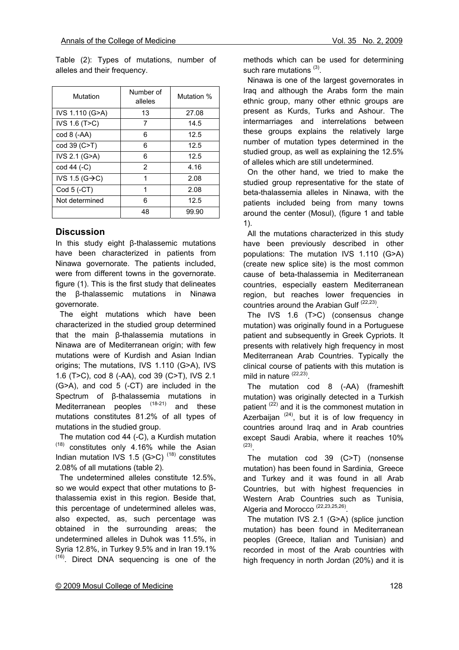Table (2): Types of mutations, number of alleles and their frequency.

| Mutation                    | Number of<br>alleles | Mutation % |  |
|-----------------------------|----------------------|------------|--|
| IVS 1.110 (G>A)             | 13                   | 27.08      |  |
| IVS 1.6 (T>C)               | 7                    | 14.5       |  |
| cod 8 (-AA)                 | 6                    | 12.5       |  |
| cod 39 (C>T)                | 6                    | 12.5       |  |
| IVS 2.1 (G>A)               | 6                    | 12.5       |  |
| cod 44 (-C)                 | 2                    | 4.16       |  |
| IVS 1.5 (G $\rightarrow$ C) | 1                    | 2.08       |  |
| Cod 5 (-CT)                 | 1                    | 2.08       |  |
| Not determined              | 6                    | 12.5       |  |
|                             | 48                   | 99.90      |  |

### **Discussion**

In this study eight β-thalassemic mutations have been characterized in patients from Ninawa governorate. The patients included, were from different towns in the governorate. figure (1). This is the first study that delineates the β-thalassemic mutations in Ninawa governorate.

 The eight mutations which have been characterized in the studied group determined that the main β-thalassemia mutations in Ninawa are of Mediterranean origin; with few mutations were of Kurdish and Asian Indian origins; The mutations, IVS 1.110 (G>A), IVS 1.6 (T>C), cod 8 (-AA), cod 39 (C>T), IVS 2.1 (G>A), and cod 5 (-CT) are included in the Spectrum of β-thalassemia mutations in Mediterranean peoples  $(18-21)$  and these mutations constitutes 81.2% of all types of mutations in the studied group.

 The mutation cod 44 (-C), a Kurdish mutation  $(18)$  constitutes only 4.16% while the Asian Indian mutation IVS 1.5 (G>C)  $(18)$  constitutes 2.08% of all mutations (table 2).

 The undetermined alleles constitute 12.5%, so we would expect that other mutations to βthalassemia exist in this region. Beside that, this percentage of undetermined alleles was, also expected, as, such percentage was obtained in the surrounding areas; the undetermined alleles in Duhok was 11.5%, in Syria 12.8%, in Turkey 9.5% and in Iran 19.1%  $(16)$ . Direct DNA sequencing is one of the methods which can be used for determining such rare mutations  $(3)$ .

 Ninawa is one of the largest governorates in Iraq and although the Arabs form the main ethnic group, many other ethnic groups are present as Kurds, Turks and Ashour. The intermarriages and interrelations between these groups explains the relatively large number of mutation types determined in the studied group, as well as explaining the 12.5% of alleles which are still undetermined.

 On the other hand, we tried to make the studied group representative for the state of beta-thalassemia alleles in Ninawa, with the patients included being from many towns around the center (Mosul), (figure 1 and table 1).

 All the mutations characterized in this study have been previously described in other populations: The mutation IVS 1.110 (G>A) (create new splice site) is the most common cause of beta-thalassemia in Mediterranean countries, especially eastern Mediterranean region, but reaches lower frequencies in countries around the Arabian Gulf  $(22,23)$ .

 The IVS 1.6 (T>C) (consensus change mutation) was originally found in a Portuguese patient and subsequently in Greek Cypriots. It presents with relatively high frequency in most Mediterranean Arab Countries. Typically the clinical course of patients with this mutation is mild in nature (22,23)

 The mutation cod 8 (-AA) (frameshift mutation) was originally detected in a Turkish patient<sup>(22)</sup> and it is the commonest mutation in Azerbaijan  $(24)$ , but it is of low frequency in countries around Iraq and in Arab countries except Saudi Arabia, where it reaches 10%  $(23)$ 

 The mutation cod 39 (C>T) (nonsense mutation) has been found in Sardinia, Greece and Turkey and it was found in all Arab Countries, but with highest frequencies in Western Arab Countries such as Tunisia, Algeria and Morocco<sup>(22,23,25,26)</sup>

 The mutation IVS 2.1 (G>A) (splice junction mutation) has been found in Mediterranean peoples (Greece, Italian and Tunisian) and recorded in most of the Arab countries with high frequency in north Jordan (20%) and it is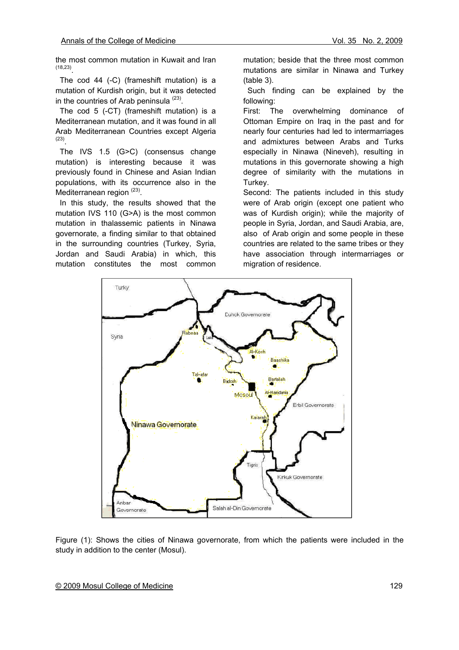the most common mutation in Kuwait and Iran  $(18,23)$ 

 The cod 44 (-C) (frameshift mutation) is a mutation of Kurdish origin, but it was detected in the countries of Arab peninsula  $(23)$ .

 The cod 5 (-CT) (frameshift mutation) is a Mediterranean mutation, and it was found in all Arab Mediterranean Countries except Algeria  $(23)$ 

 The IVS 1.5 (G>C) (consensus change mutation) is interesting because it was previously found in Chinese and Asian Indian populations, with its occurrence also in the Mediterranean region  $(23)$ .

 In this study, the results showed that the mutation IVS 110 (G>A) is the most common mutation in thalassemic patients in Ninawa governorate, a finding similar to that obtained in the surrounding countries (Turkey, Syria, Jordan and Saudi Arabia) in which, this mutation constitutes the most common

mutation; beside that the three most common mutations are similar in Ninawa and Turkey (table 3).

 Such finding can be explained by the following:

First: The overwhelming dominance of Ottoman Empire on Iraq in the past and for nearly four centuries had led to intermarriages and admixtures between Arabs and Turks especially in Ninawa (Nineveh), resulting in mutations in this governorate showing a high degree of similarity with the mutations in Turkey.

Second: The patients included in this study were of Arab origin (except one patient who was of Kurdish origin); while the majority of people in Syria, Jordan, and Saudi Arabia, are, also of Arab origin and some people in these countries are related to the same tribes or they have association through intermarriages or migration of residence.



Figure (1): Shows the cities of Ninawa governorate, from which the patients were included in the study in addition to the center (Mosul).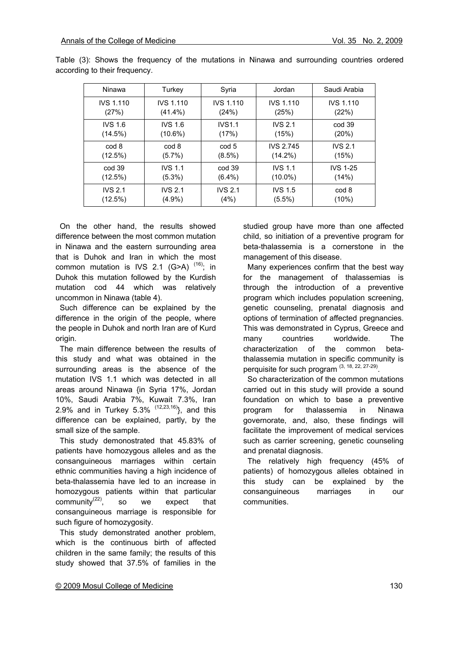| Ninawa           | Turkey           | Syria            | Jordan           | Saudi Arabia     |
|------------------|------------------|------------------|------------------|------------------|
| <b>IVS 1.110</b> | <b>IVS 1.110</b> | <b>IVS 1.110</b> | <b>IVS 1.110</b> | <b>IVS 1.110</b> |
| (27%)            | $(41.4\%)$       | (24%)            | (25%)            | (22%)            |
| <b>IVS 1.6</b>   | <b>IVS 1.6</b>   | <b>IVS1.1</b>    | <b>IVS 2.1</b>   | cod 39           |
| (14.5%)          | $(10.6\%)$       | (17%)            | (15%)            | (20%)            |
| cod 8            | cod 8            | cod 5            | <b>IVS 2.745</b> | <b>IVS 2.1</b>   |
| (12.5%)          | $(5.7\%)$        | $(8.5\%)$        | $(14.2\%)$       | (15%)            |
| cod 39           | <b>IVS 1.1</b>   | cod 39           | <b>IVS 1.1</b>   | <b>IVS 1-25</b>  |
| (12.5%)          | $(5.3\%)$        | $(6.4\%)$        | $(10.0\%)$       | (14%)            |
| <b>IVS 2.1</b>   | <b>IVS 2.1</b>   | <b>IVS 2.1</b>   | <b>IVS 1.5</b>   | cod 8            |
| (12.5%)          | $(4.9\%)$        | (4%)             | $(5.5\%)$        | (10%)            |

Table (3): Shows the frequency of the mutations in Ninawa and surrounding countries ordered according to their frequency.

 On the other hand, the results showed difference between the most common mutation in Ninawa and the eastern surrounding area that is Duhok and Iran in which the most common mutation is IVS 2.1  $(G>A)$ <sup> $(16)$ </sup>; in Duhok this mutation followed by the Kurdish mutation cod 44 which was relatively uncommon in Ninawa (table 4).

 Such difference can be explained by the difference in the origin of the people, where the people in Duhok and north Iran are of Kurd origin.

 The main difference between the results of this study and what was obtained in the surrounding areas is the absence of the mutation IVS 1.1 which was detected in all areas around Ninawa {in Syria 17%, Jordan 10%, Saudi Arabia 7%, Kuwait 7.3%, Iran 2.9% and in Turkey 5.3%  $(12,23,16)$ , and this difference can be explained, partly, by the small size of the sample.

 This study demonostrated that 45.83% of patients have homozygous alleles and as the consanguineous marriages within certain ethnic communities having a high incidence of beta-thalassemia have led to an increase in homozygous patients within that particular community $^{(22)}$ , so we expect that consanguineous marriage is responsible for such figure of homozygosity.

 This study demonstrated another problem, which is the continuous birth of affected children in the same family; the results of this study showed that 37.5% of families in the studied group have more than one affected child, so initiation of a preventive program for beta-thalassemia is a cornerstone in the management of this disease.

 Many experiences confirm that the best way for the management of thalassemias is through the introduction of a preventive program which includes population screening, genetic counseling, prenatal diagnosis and options of termination of affected pregnancies. This was demonstrated in Cyprus, Greece and many countries worldwide. The characterization of the common betathalassemia mutation in specific community is perquisite for such program (3, 18, 22, 27-29).

 So characterization of the common mutations carried out in this study will provide a sound foundation on which to base a preventive program for thalassemia in Ninawa governorate, and, also, these findings will facilitate the improvement of medical services such as carrier screening, genetic counseling and prenatal diagnosis.

 The relatively high frequency (45% of patients) of homozygous alleles obtained in this study can be explained by the consanguineous marriages in our communities.

#### © 2009 Mosul College of Medicine 130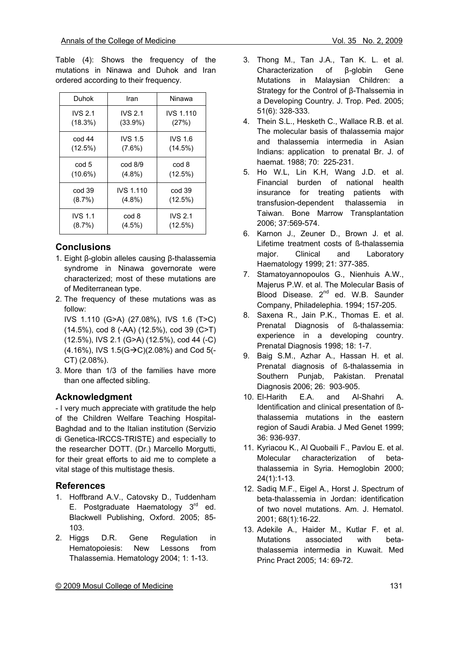Table (4): Shows the frequency of the mutations in Ninawa and Duhok and Iran ordered according to their frequency.

| Duhok          | Iran              | Ninawa           |
|----------------|-------------------|------------------|
| <b>IVS 2.1</b> | <b>IVS 2.1</b>    | <b>IVS 1.110</b> |
| (18.3%)        | $(33.9\%)$        | (27%)            |
| cod 44         | <b>IVS 1.5</b>    | <b>IVS 1.6</b>   |
| (12.5%)        | $(7.6\%)$         | (14.5%)          |
| cod 5          | $\text{cod } 8/9$ | cod 8            |
| $(10.6\%)$     | $(4.8\%)$         | (12.5%)          |
| cod 39         | <b>IVS 1.110</b>  | cod 39           |
| $(8.7\%)$      | $(4.8\%)$         | (12.5%)          |
| <b>IVS 1.1</b> | cod 8             | <b>IVS 2.1</b>   |
| $(8.7\%)$      | $(4.5\%)$         | (12.5%)          |

### **Conclusions**

- 1. Eight β-globin alleles causing β-thalassemia syndrome in Ninawa governorate were characterized; most of these mutations are of Mediterranean type.
- 2. The frequency of these mutations was as follow:

IVS 1.110 (G>A) (27.08%), IVS 1.6 (T>C) (14.5%), cod 8 (-AA) (12.5%), cod 39 (C>T) (12.5%), IVS 2.1 (G>A) (12.5%), cod 44 (-C)  $(4.16\%)$ , IVS  $1.5(G\rightarrow C)(2.08\%)$  and Cod 5(-CT) (2.08%).

3. More than 1/3 of the families have more than one affected sibling.

### **Acknowledgment**

- I very much appreciate with gratitude the help of the Children Welfare Teaching Hospital-Baghdad and to the Italian institution (Servizio di Genetica-IRCCS-TRISTE) and especially to the researcher DOTT. (Dr.) Marcello Morgutti, for their great efforts to aid me to complete a vital stage of this multistage thesis.

### **References**

- 1. Hoffbrand A.V., Catovsky D., Tuddenham E. Postgraduate Haematology  $3<sup>rd</sup>$  ed. Blackwell Publishing, Oxford. 2005; 85- 103.
- 2. Higgs D.R. Gene Regulation in Hematopoiesis: New Lessons from Thalassemia. Hematology 2004; 1: 1-13.
- 3. Thong M., Tan J.A., Tan K. L. et al. Characterization of β-globin Gene Mutations in Malaysian Children: a Strategy for the Control of β-Thalssemia in a Developing Country. J. Trop. Ped. 2005; 51(6): 328-333.
- 4. Thein S.L., Hesketh C., Wallace R.B. et al. The molecular basis of thalassemia major and thalassemia intermedia in Asian Indians: application to prenatal Br. J. of haemat. 1988; 70: 225-231.
- 5. Ho W.L, Lin K.H, Wang J.D. et al. Financial burden of national health insurance for treating patients with transfusion-dependent thalassemia in Taiwan. Bone Marrow Transplantation 2006; 37:569-574.
- 6. Karnon J., Zeuner D., Brown J. et al. Lifetime treatment costs of ß-thalassemia major. Clinical and Laboratory Haematology 1999; 21: 377-385.
- 7. Stamatoyannopoulos G., Nienhuis A.W., Majerus P.W. et al. The Molecular Basis of Blood Disease. 2<sup>nd</sup> ed. W.B. Saunder Company, Philadelephia. 1994; 157-205.
- 8. Saxena R., Jain P.K., Thomas E. et al. Prenatal Diagnosis of ß-thalassemia: experience in a developing country. Prenatal Diagnosis 1998; 18: 1-7.
- 9. Baig S.M., Azhar A., Hassan H. et al. Prenatal diagnosis of ß-thalassemia in Southern Punjab, Pakistan. Prenatal Diagnosis 2006; 26: 903-905.
- 10. El-Harith E.A. and Al-Shahri A. Identification and clinical presentation of ßthalassemia mutations in the eastern region of Saudi Arabia. J Med Genet 1999; 36: 936-937.
- 11. Kyriacou K., Al Quobaili F., Pavlou E. et al. Molecular characterization of betathalassemia in Syria. Hemoglobin 2000; 24(1):1-13.
- 12. Sadiq M.F., Eigel A., Horst J. Spectrum of beta-thalassemia in Jordan: identification of two novel mutations. Am. J. Hematol. 2001; 68(1):16-22.
- 13. Adekile A., Haider M., Kutlar F. et al. Mutations associated with betathalassemia intermedia in Kuwait. Med Princ Pract 2005; 14: 69-72.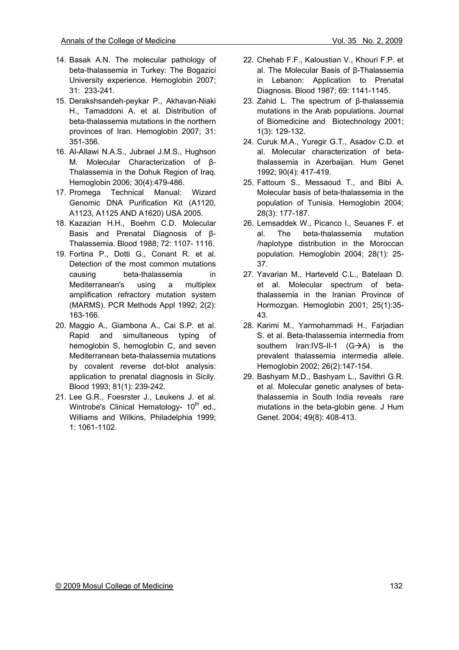- 14. Basak A.N. The molecular pathology of beta-thalassemia in Turkey: The Bogazici University experience. Hemoglobin 2007; 31: 233-241.
- 15. Derakshsandeh-peykar P., Akhavan-Niaki H., Tamaddoni A. et al. Distribution of beta-thalassemia mutations in the northern provinces of Iran. Hemoglobin 2007; 31: 351-356.
- 16. Al-Allawi N.A.S., Jubrael J.M.S., Hughson M. Molecular Characterization of β-Thalassemia in the Dohuk Region of Iraq. Hemoglobin 2006; 30(4):479-486.
- 17. Promega Technical Manual: Wizard Genomic DNA Purification Kit (A1120, A1123, A1125 AND A1620) USA 2005.
- 18. Kazazian H.H., Boehm C.D. Molecular Basis and Prenatal Diagnosis of β-Thalassemia. Blood 1988; 72: 1107- 1116.
- 19. Fortina P., Dotti G., Conant R. et al. Detection of the most common mutations causing beta-thalassemia in Mediterranean's using a multiplex amplification refractory mutation system (MARMS). PCR Methods Appl 1992; 2(2): 163-166.
- 20. Maggio A., Giambona A., Cai S.P. et al. Rapid and simultaneous typing of hemoglobin S, hemoglobin C, and seven Mediterranean beta-thalassemia mutations by covalent reverse dot-blot analysis: application to prenatal diagnosis in Sicily. Blood 1993; 81(1): 239-242.
- 21. Lee G.R., Foesrster J., Leukens J. et al. Wintrobe's Clinical Hematology-  $10<sup>th</sup>$  ed., Williams and Wilkins, Philadelphia 1999; 1: 1061-1102.
- 22. Chehab F.F., Kaloustian V., Khouri F.P. et al. The Molecular Basis of β-Thalassemia in Lebanon: Application to Prenatal Diagnosis. Blood 1987; 69: 1141-1145.
- 23. Zahid L. The spectrum of β-thalassemia mutations in the Arab populations. Journal of Biomedicine and Biotechnology 2001; 1(3): 129-132.
- 24. Curuk M.A., Yuregir G.T., Asadov C.D. et al. Molecular characterization of betathalassemia in Azerbaijan. Hum Genet 1992; 90(4): 417-419.
- 25. Fattoum S., Messaoud T., and Bibi A. Molecular basis of beta-thalassemia in the population of Tunisia. Hemoglobin 2004; 28(3): 177-187.
- 26. Lemsaddek W., Picanco I., Seuanes F. et al. The beta-thalassemia mutation /haplotype distribution in the Moroccan population. Hemoglobin 2004; 28(1): 25- 37.
- 27. Yavarian M., Harteveld C.L., Batelaan D. et al. Molecular spectrum of betathalassemia in the Iranian Province of Hormozgan. Hemoglobin 2001; 25(1):35- 43.
- 28. Karimi M., Yarmohammadi H., Farjadian S. et al. Beta-thalassemia intermedia from southern Iran:IVS-II-1  $(G\rightarrow A)$  is the prevalent thalassemia intermedia allele. Hemoglobin 2002; 26(2):147-154.
- 29. Bashyam M.D., Bashyam L., Savithri G.R. et al. Molecular genetic analyses of betathalassemia in South India reveals rare mutations in the beta-globin gene. J Hum Genet. 2004; 49(8): 408-413.